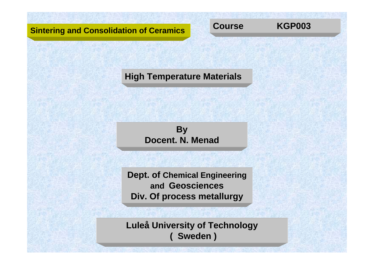## **Sintering and Consolidation of Ceramics**



**High Temperature Materials**



**Dept. of Chemical Engineering and Geosciences Div. Of process metallurgy**

**Luleå University of Technology ( Sweden )**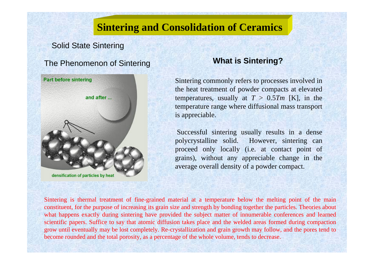# **Sintering and Consolidation of Ceramics**

### Solid State Sintering

# The Phenomenon of Sintering **What is Sintering?**



densification of particles by heat

Sintering commonly refers to processes involved in the heat treatment of powder compacts at elevated temperatures, usually at  $T > 0.5Tm$  [K], in the temperature range where diffusional mass transport is appreciable.

Successful sintering usually results in a dense polycrystalline solid. However, sintering can proceed only locally (i.e. at contact point of grains), without any appreciable change in the average overall density of a powder compact.

Sintering is thermal treatment of fine-grained material at a temperature below the melting point of the main constituent, for the purpose of increasing its grain size and strength by bonding together the particles. Theories about what happens exactly during sintering have provided the subject matter of innumerable conferences and learned scientific papers. Suffice to say that atomic diffusion takes place and the welded areas formed during compaction grow until eventually may be lost completely. Re-crystallization and grain growth may follow, and the pores tend to become rounded and the total porosity, as a percentage of the whole volume, tends to decrease.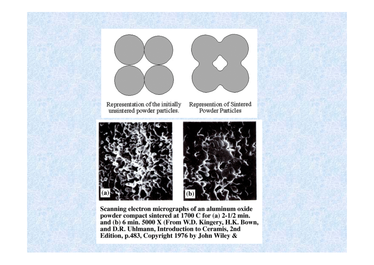



Representation of the initially unsintered powder particles.

Represention of Sintered Powder Particles





Scanning electron micrographs of an aluminum oxide powder compact sintered at 1700 C for (a) 2-1/2 min. and (b) 6 min. 5000 X (From W.D. Kingery, H.K. Bown, and D.R. Uhlmann, Introduction to Ceramis, 2nd Edition, p.483, Copyright 1976 by John Wiley &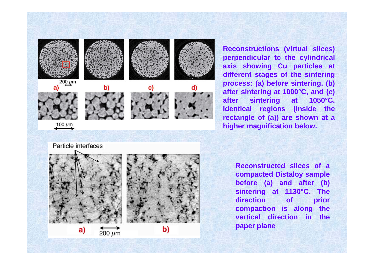

a)

 $200 \mu m$ 

b)

**Reconstructions (virtual slices) perpendicular to the cylindrical axis showing Cu particles at different stages of the sintering process: (a) before sintering, (b) after sintering at 1000°C, and (c) after sintering at 1050°C. Identical regions (inside the rectangle of (a)) are shown at a higher magnification below.** 

> **Reconstructed slices of a compacted Distaloy sample before (a) and after (b) sintering at 1130°C. The direction of prior compaction is along the vertical direction in the paper plane**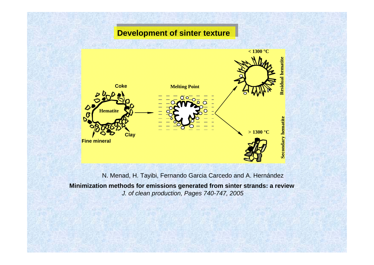## **Development of sinter texture**



**Minimization methods for emissio n s gen erated from sinter strands: a review** *J. of clean production, Pages 740-747, 2005*  N. Menad, H. Tayibi, Fernando Garcia Carcedo and A. Hernández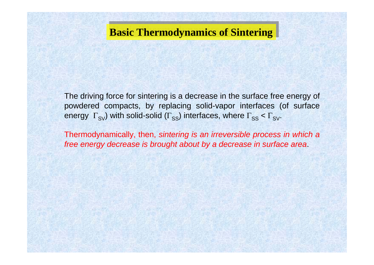# **Basic Thermodynamics of Sintering**

The driving force for sintering is a decrease in the surface free energy of powdered compacts, by replacing solid-vapor interfaces (of surface energy  $\, \Gamma_{\rm SV} \,$ ) with solid-solid ( $\Gamma_{\rm SS} \,$ ) interfaces, where  $\Gamma_{\rm SS} < \Gamma_{\rm SV} \,$ .

Thermodynamically, then, *sintering is an irreversible process in which a free energy decrease is brought about by a decrease in surface area*.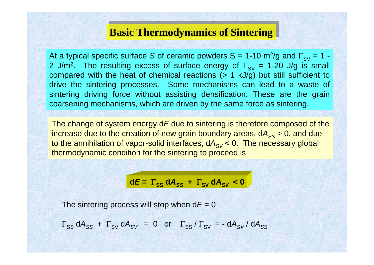# **Basic Thermodynamics of Sintering**

At a typical specific surface S of ceramic powders S = 1-10 m<sup>2</sup>/g and  $\Gamma_{\rm SV}$  = 1 -2 J/m². The resulting excess of surface energy of  $\Gamma_{\rm SV}$  = 1-20 J/g is small compared with the heat of chemical reactions (> 1 kJ/g) but still sufficient t o drive the sintering processes. Some mechanisms can lead to a waste of sintering driving force without assisting densification. These are the grain coarsening mechanisms, which are driven by the same force as sintering.

The change of system energy d *E* due to sintering is therefore composed of the increase due to the creation of new grain boundary areas, dA<sub>ss</sub> > 0, and due to the annihilation of vapor-solid interfaces, dA<sub>SV</sub> < 0. The necessary global thermodynamic condition for the sintering to proceed is

$$
dE = \Gamma_{SS} dA_{SS} + \Gamma_{SV} dA_{SV} < 0
$$

The sintering process will stop when  $\mathsf{d} E$  = 0

 $\Gamma_{\rm SS}$  dA $_{\rm SS}$  +  $\Gamma_{\rm SV}$  dA $_{\rm SV}$  = 0 or  $\Gamma_{\rm SS}$  /  $\Gamma_{\rm SV}$  = -dA $_{\rm SV}$ / dA $_{\rm SS}$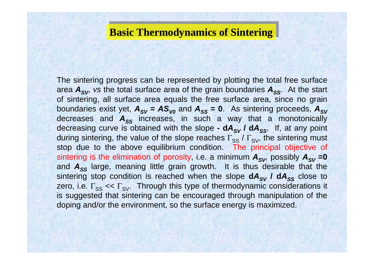# **Basic Thermodynamics of Sintering**

The sintering progress can be represented by plotting the total free surface area  $A_{SV}$ , vs the total surface area of the grain boundaries  $A_{SS}$ . At the start of sintering, all surface area equals the free surface area, since no grain boundaries exist yet,  $\bm A_{\mathcal{SV}} = \bm A \bm S_{\mathcal{V}o}$  and  $\bm A_{\mathcal{SS}} = \bm 0$ . As sintering proceeds,  $\bm A_{\mathcal{SV}}$ decreases and  $A_{SS}$  increases, in such a way that a monotonically decreasing curve is obtained with the slope -  $dA_{SV}$  /  $dA_{SS}$ . If, at any point during sintering, the value of the slope reaches  $\Gamma_\text{SS}$  /  $\Gamma_\text{SV}$ , the sintering must stop due to the above equilibrium condition. The principal objective of sintering is the elimination of porosity, i.e. a minimum  $\bm A_{\mathcal{SV}}$  possibly  $\bm A_{\mathcal{SV}}$  =0 and  $A_{SS}$  large, meaning little grain growth. It is thus desirable that the sintering stop condition is reached when the slope  $dA_{SV}$  /  $dA_{SS}$  close to zero, i.e.  $\Gamma_{SS} << \Gamma_{SV}$ . Through this type of thermodynamic considerations it is suggested that sintering can be encouraged through manipulation of the doping and/or the environment, so the surface energy is maximized.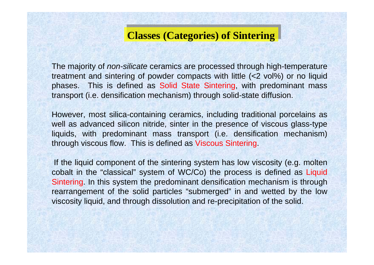# **Classes (Categories) of Sintering Classes (Categories) of Sintering**

The majority of *non-silicate* ceramics are processed through high-temperature treatment and sintering of powder compacts with little (<2 vol%) or no liquid phases. This is defined as Solid State Sintering, with predominant mass transport (i.e. densification mechanism) through solid-state diffusion.

However, most silica-containing ceramics, including traditional porcelains as well as advanced silicon nitride, sinter in the presence of viscous glass-type liquids, with predominant mass transport (i.e. densification mechanism) through viscous flow. This is defined as Viscous Sintering.

If the liquid component of the sintering system has low viscosity (e.g. molten cobalt in the "classical" system of WC/Co) the process is defined as Liquid Sintering. In this system the predominant densification mechanism is through rearrangement of the solid particles "submerged" in and wetted by the low viscosity liquid, and through dissolution and re-precipitation of the solid.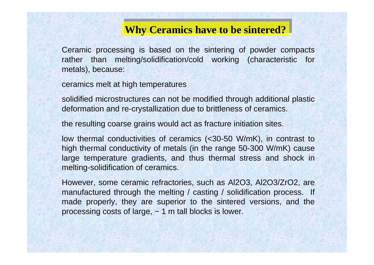# **Why Ceramics have to be sintered?**

Ceramic processing is based on the sintering of powder compacts rather than melting/solidification/cold working (characteristic for metals), because:

ceramics melt at high temperatures

solidified microstructures can not be modified through additional plastic deformation and re-crystallization due to brittleness of ceramics.

the resulting coarse grains would act as fracture initiation sites.

low thermal conductivities of ceramics (<30-50 W/mK), in contrast to high thermal conductivity of metals (in the range 50-300 W/mK) cause large temperature gradients, and thus thermal stress and shock in melting-solidification of ceramics.

However, some ceramic refractories, such as Al2O3, Al2O3/ZrO2, are manufactured through the melting / casting / solidification process. If made properly, they are superior to the sintered versions, and the processing costs of large, ~ 1 m tall blocks is lower.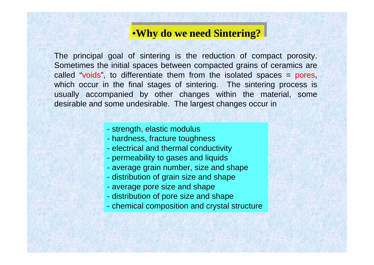# •**Why do we need Sintering?**

The principal goal of sintering is the reduction of compact porosity. Sometimes the initial spaces between compacted grains of ceramics are called "voids", to differentiate them from the isolated spaces = pores, which occur in the final stages of sintering. The sintering process is usually accompanied by other changes within the material, some desirable and some undesirable. The largest changes occur in

### - strength, elastic modulus

- hardness, fracture toughness
- electrical and thermal conductivity
- permeability to gases and liquids
- average grain number, size and shape
- distribution of grain size and shape
- average pore size and shape
- distribution of pore size and shape
- chemical composition and crystal structure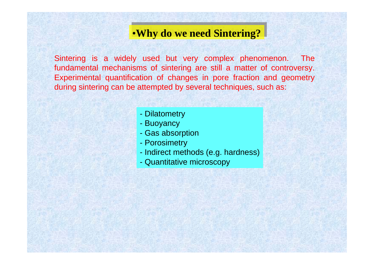# •**Why do we need Sintering?**

Sintering is a widely used but very complex phenomenon. The fundamental mechanisms of sintering are still a matter of controversy. Experimental quantification of changes in pore fraction and geometry during sintering can be attempted by several techniques, such as:

- Dilatometry
- Buoyancy
- Gas absorption
- Porosimetry
- Indirect methods (e.g. hardness)
- Quantitative microscopy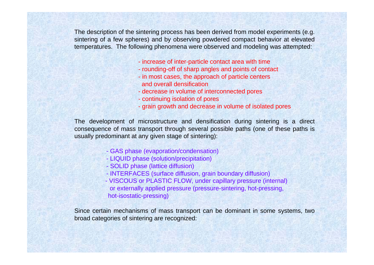The description of the sintering process has been derived from model experiments (e.g. sintering of a few spheres) and by observing powdered compact behavior at elevated temperatures. The following phenomena were observed and modeling was attempted:

- increase of inter-particle contact area with time
- rounding-off of sharp angles and points of contact
- in most cases, the approach of particle centers and overall densification
- decrease in volume of interconnected pores
- continuing isolation of pores
- grain growth and decrease in volume of isolated pores

The development of microstructure and densification during sintering is a direct consequence of mass transport through several possible paths (one of these paths is usually predominant at any given stage of sintering):

- GAS phase (evaporation/condensation)
- LIQUID phase (solution/precipitation)
- SOLID phase (lattice diffusion)
- INTERFACES (surface diffusion, grain boundary diffusion)
- VISCOUS or PLASTIC FLOW, under capillary pressure (internal) or externally applied pressure (pressure-sintering, hot-pressing, hot-isostatic-pressing)

Since certain mechanisms of mass transport can be dominant in some systems, two broad categories of sintering are recognized: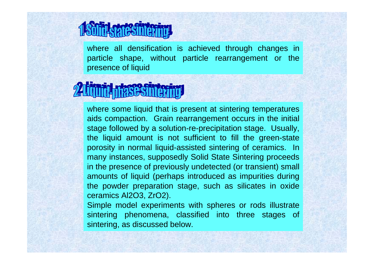where all densification is achieved through changes in particle shape, without particle rearrangement or the presence of liquid

where some liquid that is present at sintering temperatures aids compaction. Grain rearrangement occurs in the initial stage followed by a solution-re-precipitation stage. Usually, the liquid amount is not sufficient to fill the green-state porosity in normal liquid-assisted sintering of ceramics. In many instances, supposedly Solid State Sintering proceeds in the presence of previously undetected (or transient) small amounts of liquid (perhaps introduced as impurities during the powder preparation stage, such as silicates in oxide ceramics Al2O3, ZrO2).

Simple model experiments with spheres or rods illustrate sintering phenomena, classified into three stages of sintering, as discussed below.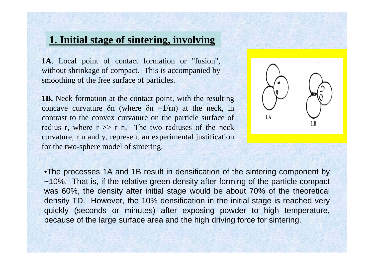# **1. Initial stage of sintering, involving**

**1A**. Local point of contact formation or "fusion", without shrinkage of compact. This is accompanied by smoothing of the free surface of particles.

**1B.** Neck formation at the contact point, with the resulting concave curvature  $\delta n$  (where  $\delta n = 1/m$ ) at the neck, in contrast to the convex curvature on the particle surface of radius r, where  $r \gg r$  n. The two radiuses of the neck curvature, r n and y, represent an experimental justification for the two-sphere model of sintering.



•The processes 1A and 1B result in densification of the sintering component by ~10%. That is, if the relative green density after forming of the particle compact was 60%, the density after initial stage would be about 70% of the theoretical density TD. However, the 10% densification in the initial stage is reached very quickly (seconds or minutes) after exposing powder to high temperature, because of the large surface area and the high driving force for sintering.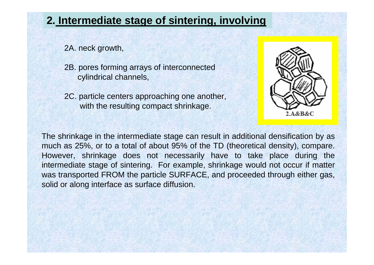# **2. Intermediate stage of sintering, involving**

2A. neck growth,

- 2B. pores forming arrays of interconnected cylindrical channels,
- 2C. particle centers approaching one another, with the resulting compact shrinkage.



The shrinkage in the intermediate stage can result in additional densification by as much as 25%, or to a total of about 95% of the TD (theoretical density), compare. However, shrinkage does not necessarily have to take place during the intermediate stage of sintering. For example, shrinkage would not occur if matter was transported FROM the particle SURFACE, and proceeded through either gas, solid or along interface as surface diffusion.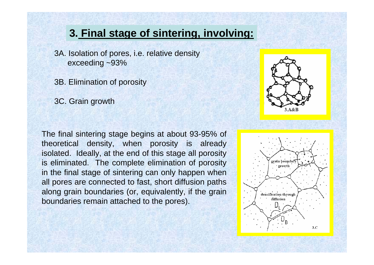# **3. Final stage of sintering, involving:**

3A. Isolation of pores, i.e. relative density exceeding ~93%

3B. Elimination of porosity

3C. Grain growth

The final sintering stage begins at about 93-95% of theoretical density, when porosity is already isolated. Ideally, at the end of this stage all porosity is eliminated. The complete elimination of porosity in the final stage of sintering can only happen when all pores are connected to fast, short diffusion paths along grain boundaries (or, equivalently, if the grain boundaries remain attached to the pores).



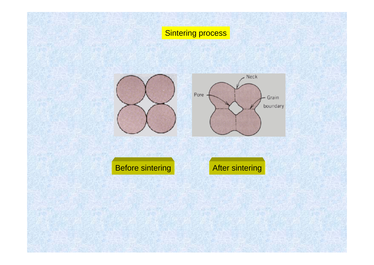# **Sintering process**







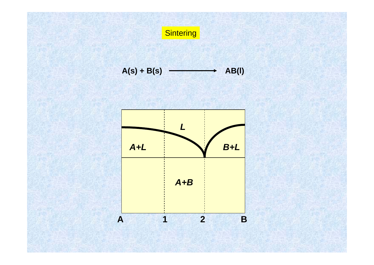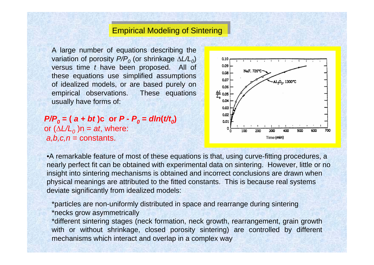## **Empirical Modeling of Sintering**

A large number of equations describing the variation of porosity  $P/P$ <sub>0</sub> (or shrinkage ΔL/L<sub>0</sub>) versu s time *t* have been proposed. All of these equations use simplified assumptions of idealized models, or are based purely on empirical observations. These equations usually have for ms of:

 $P/P_o$  = (  $a$  +  $bt$  )c or  $P$  -  $P_o$  =  $dln(t/t_o)$ or ( Δ*L/L 0* )n = *at*, where: *a,b,c,n* = constants.



•A remar kable feature of most of these equations is that, using curve-fitting procedures, a nearly perfect fit can be obtained with experimental data on sintering. However, little or no insight into sintering mechanisms is obtained and incorrect conclusions are drawn when physical meanings are attributed to the fitted constants. This is because real systems deviate significantly from idealized models:

\*particles are non-unifor mly distributed in space and rearrange during sintering \*necks grow asymmetrically

\*different sintering stages (neck formation, neck growth, rearrangement, grain growth with or without shrinkage, closed porosity sintering) are controlled by different mechanisms which interact and overlap in a complex way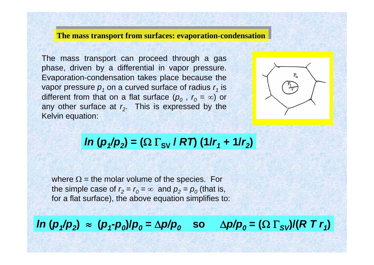### **The mass transport from surfaces: evaporation-condensation**

The mass transport can proceed through a gas phase, driven by a differential in vapor pressure. Evaporation-condensation takes place because the vapor pressure  $\bm{p}_\textit{1}$  on a curved surface of radius  $r_\textit{1}$  is different from that on a flat surface  $(p_o$  ,  $r_o = \infty)$  or any other surface at  $r<sub>2</sub>$ . This is expressed by the Kelvin equation:



# *ln* ( $p_1/p_2$ ) = ( $\Omega \Gamma_{\rm SV}$  /  $R$ T) (1/r<sub>1</sub> + 1/r<sub>2</sub>)

where  $\Omega$  = the molar volume of the species. For the simple case of  $r_2 = r_0 = \infty$  and  $p_2 = p_0$  (that is, for a flat surface), the above equation simplifies to:

# In  $({\bm p_1}/{\bm p_2}) \; \approx \; ({\bm p_1}{\text -}{\bm p_0})/{\bm p_0} = \Delta{\bm p}/{\bm p_0} \quad \text{so} \quad \Delta{\bm p}/{\bm p_0} = (\Omega \; \Gamma_{\text{SV}}) / (R \; T \; r_1)$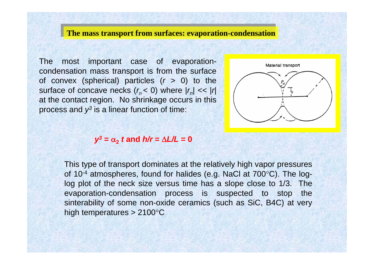### **The mass transport from surfaces: evaporation-condensation**

The most important case of evaporationcondensation mass transport is from the surface of convex (spherical) particles (*r* > 0) to the surface of concave necks  $(r_n < 0)$  where  $|r_n| << |r|$ at the contact region. No shrinkage occurs in this process and  $\mathcal{Y}^3$  is a linear function of time:



### *y3* **<sup>=</sup>** α **2***t* **and** *h/r* **=**  Δ*L/L* **= 0**

This type of transport dominates at the relatively high vapor pressures of 10-4 atmospheres, found for halides (e.g. NaCl at 700 °C). The loglog plot of the neck size versus time has a slope close to 1/3. The evaporation-condensation process is suspected to stop the sinterability of some non-oxide ceramics (such as SiC, B4C) at very high temperatures > 2100°  $\rm ^{\circ}C$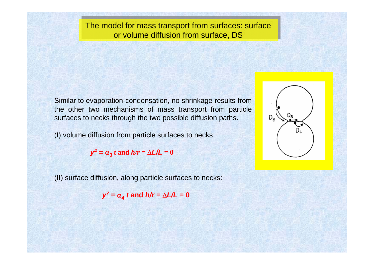The model for mass transport from surfaces: surface<br>or volume diffusion from surface, DS

Similar to evaporation-condensation, no shrinkage results from the other two mechanisms of mass transport from particle surfaces to necks through the two possible diffusion paths.

(I) volume diffusion from particle surfaces to necks:

 $y^4 = \alpha_3 t$  and  $h/r = \Delta L/L = 0$ 

(II) surface diffusion, along particle surfaces to necks:

*y7* **<sup>=</sup>** α **4***t* **and** *h/r* **=**  Δ*L/L* **= 0**

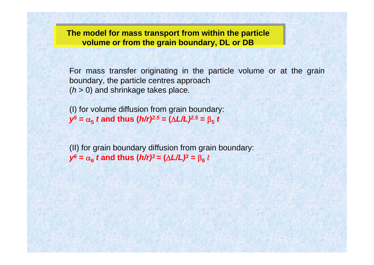**The model for mass transport from within the particle volume or from the grain boundary, DL or DB The model for mass transport from within the particle volume or from the grain boundary, DL or DB**

For mass transfer originating in the particle volume or at the grain boundary, the particle centres approach (*h* > 0) and shrinkage takes place.

(I) for volume diffusion from grain boundary:  $y^5 = \alpha_5$  *t* and thus (*h/r)<sup>2.5</sup> =* ( $\Delta L/L$ *)<sup>2.5</sup> =*  $\beta_5$  *t* 

(II) for grain boundary diffusion from grain boundary:  $y^6 = \alpha_6$  *t* and thus (*h/r)*<sup>3</sup> = (Δ*L/L)*<sup>3</sup> = β<sub>6</sub> *t*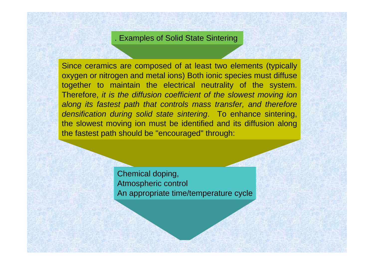### . Examples of Solid State Sintering

Since ceramics are composed of at least two elements (typically oxygen or nitrogen and metal ions) Both ionic species must diffuse together to maintain the electrical neutrality of the system. Therefore, *it is the diffusion coefficient of the slowest moving ion along its fastest path that controls mass transfer, and therefore densification during solid state sintering*. To enhance sintering, the slowest moving ion must be identified and its diffusion along the fastest path should be "encouraged" through:

> Chemical doping, Atmospheric control An appropriate time/temperature cycle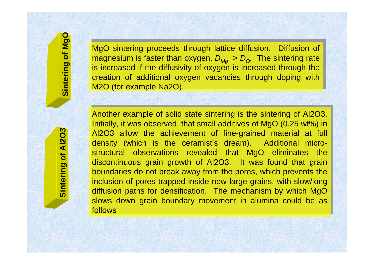MgO sintering proceeds through lattice diffusion. Diffusion of MgO sintering proceeds through lattice diffusion. Diffusion of  $m$  agnesium is faster than oxygen,  $D_{Mg} > D_o$ . The sintering rate is increased if the diffusivity of oxygen is increased through the creation of additional oxygen vacancies through doping with creation of additional oxygen vacancies through doping with M2O (for example Na2O). M2O (for example Na2O).

**Sintering of MgO**

Sintering of MgO

Another example of solid state sintering is the sintering of Al2O3.<br>Initially, it was observed, that small additives of MgO (0.25 wt%) in<br>Al2O3 allow the achievement of fine-grained material at full<br>density (which is the c structural observations revealed that MgO eliminates the discontinuous grain growth of Al2O3. It was found that grain discontinuous grain growth of Al2O3. It was found that grain boundaries do not break away from the pores, which prevents the boundaries do not break away from the pores, which prevents the inclusion of pores trapped inside new large grains, with slow/long inclusion of pores trapped inside new large grains, with slow/long diffusion paths for densification. The mechanism by which MgO diffusion paths for densification. The mechanism by which MgO slows down grain boundary movement in alumina could be as follows Another example of solid state sintering is the sintering of Al2O3. Initially, it was observed, that small additives of MgO (0.25 wt%) in Al2O3 allow the achievement of fine-grained material at full density (which is the ceramist's dream). Additional micro-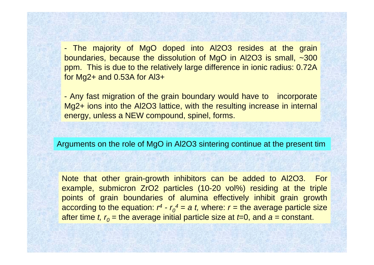- The majority of MgO doped into Al2O3 resides at the grain boundaries, because the dissolution of MgO in Al2O3 is small, ~300 ppm. This is due to the relatively large difference in ionic radius: 0.72A for Mg2+ and 0.53A for Al3+

- Any fast migration of the grain boundary would have to incorporate Mg2+ ions into the Al2O3 lattice, with the resulting increase in internal energy, unless a NEW compound, spinel, forms.

Arguments on the role of MgO in Al2O3 sintering continue at the present tim

Note that other grain-growth inhibitors can be added to Al2O3. For example, submicron ZrO2 particles (10-20 vol%) residing at the triple points of grain boundaries of alumina effectively inhibit grain growth according to the equation:  $r^4$  *-*  $r_o^4$  = a  $t$ , where:  $r$  = the average particle size after time *t, r<sub>0</sub>* = the average initial particle size at *t*=0, and  $a$  = constant.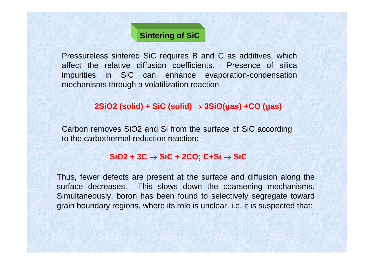# **Sintering of SiC**

Pressureless sintered SiC requires B and C as additives, which affect the relative diffusion coefficients. Presence of silica impurities in SiC can enhance evaporation-condensation mechanisms through a volatilization reaction

### **2SiO2 (solid) + SiC (solid)** <sup>→</sup> **3SiO(gas) +CO (gas)**

Carbon removes SiO2 and Si from the surface of SiC according to the carbothermal reduction reaction:

### **SiO2 + 3C** → **SiC + 2CO; C+Si** <sup>→</sup> **SiC**

Thus, fewer defects are present at the surface and diffusion along the surface decreases. This slows down the coarsening mechanisms. Simultaneously, boron has been found to selectively segregate toward grain boundary regions, where its role is unclear, i.e. it is suspected that: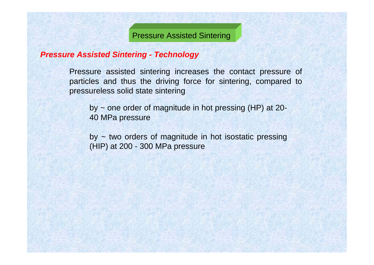Pressure Assisted Sintering

### *Pressure Assisted Sintering - Technology*

Pressure assisted sintering increases the contact pressure of particles and thus the driving force for sintering, compared to pressureless solid state sintering

by ~ one order of magnitude in hot pressing (HP) at 20- 40 MPa pressure

 $by - two$  orders of magnitude in hot isostatic pressing (HIP) at 200 - 300 MPa pressure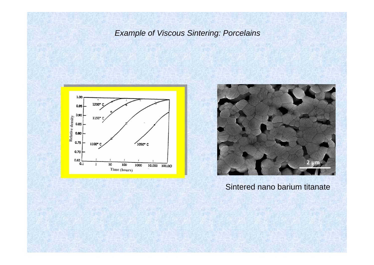## *Example of Viscous Sintering: Porcelains*





### Sintered nano barium titanate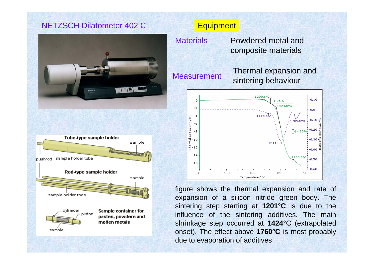## NETZSCH Dilatometer 402 C





### **Equipment**

Powdered metal and composite materials **Materials** 

Thermal expansion and Measurement sintering behaviour



figure shows the thermal expansion and rate of expansion of a silicon nitride green body. The sintering step starting at **1201°C** is due to the influence of the sintering additives. The main shrinkage step occurred at **1424**°C (extrapolated onset). The effect above **1760°C** is most probably due to evaporation of additives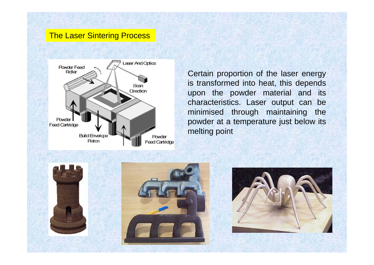### The Laser Sintering Process



Certain proportion of the laser energy is transformed into heat, this depends upon the powder material and its characteristics. Laser output can be minimised through maintaining the powder at a temperature just below its melting point





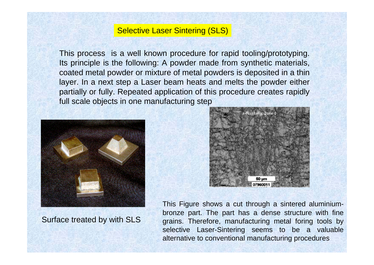### Selective Laser Sintering (SLS)

This process is a well known procedure for rapid tooling/prototyping. Its principle is the following: A powder made from synthetic materials, coated metal powder or mixture of metal powders is deposited in a thin layer. In a next step a Laser beam heats and melts the powder either partially or fully. Repeated application of this procedure creates rapidly full scale objects in one manufacturing step



Richtung, Zone

Surface treated by with SLS

This Figure shows a cut through a sintered aluminiumbronze part. The part has a dense structure with fine grains. Therefore, manufacturing metal foring tools by selective Laser-Sintering seems to be a valuable alternative to conventional manufacturing procedures